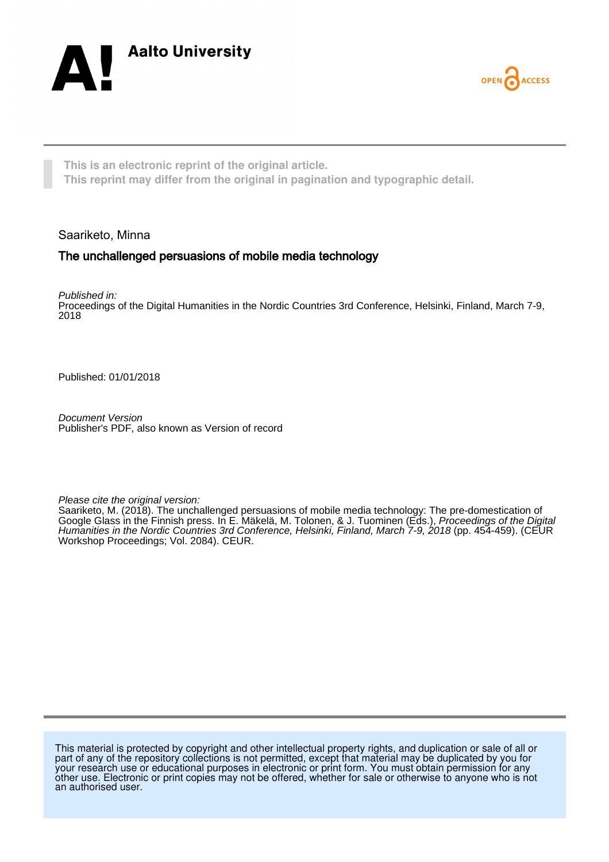



**This is an electronic reprint of the original article. This reprint may differ from the original in pagination and typographic detail.**

Saariketo, Minna

## The unchallenged persuasions of mobile media technology

Published in: Proceedings of the Digital Humanities in the Nordic Countries 3rd Conference, Helsinki, Finland, March 7-9, 2018

Published: 01/01/2018

Document Version Publisher's PDF, also known as Version of record

Please cite the original version:

Saariketo, M. (2018). The unchallenged persuasions of mobile media technology: The pre-domestication of Google Glass in the Finnish press. In E. Mäkelä, M. Tolonen, & J. Tuominen (Eds.), Proceedings of the Digital Humanities in the Nordic Countries 3rd Conference, Helsinki, Finland, March 7-9, 2018 (pp. 454-459). (CEUR Workshop Proceedings; Vol. 2084). CEUR.

This material is protected by copyright and other intellectual property rights, and duplication or sale of all or part of any of the repository collections is not permitted, except that material may be duplicated by you for your research use or educational purposes in electronic or print form. You must obtain permission for any other use. Electronic or print copies may not be offered, whether for sale or otherwise to anyone who is not an authorised user.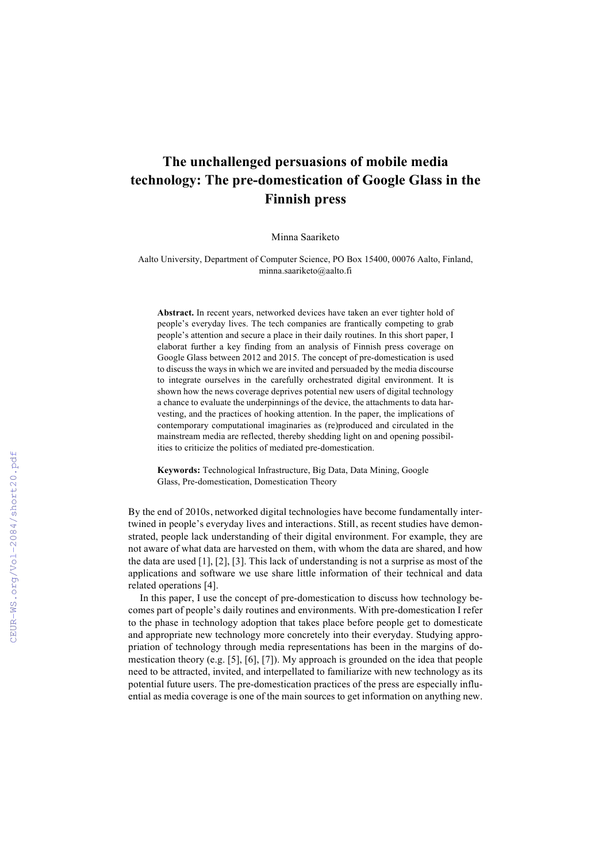## **The unchallenged persuasions of mobile media technology: The pre-domestication of Google Glass in the Finnish press**

Minna Saariketo

Aalto University, Department of Computer Science, PO Box 15400, 00076 Aalto, Finland, minna.saariketo@aalto.fi

**Abstract.** In recent years, networked devices have taken an ever tighter hold of people's everyday lives. The tech companies are frantically competing to grab people's attention and secure a place in their daily routines. In this short paper, I elaborat further a key finding from an analysis of Finnish press coverage on Google Glass between 2012 and 2015. The concept of pre-domestication is used to discuss the ways in which we are invited and persuaded by the media discourse to integrate ourselves in the carefully orchestrated digital environment. It is shown how the news coverage deprives potential new users of digital technology a chance to evaluate the underpinnings of the device, the attachments to data harvesting, and the practices of hooking attention. In the paper, the implications of contemporary computational imaginaries as (re)produced and circulated in the mainstream media are reflected, thereby shedding light on and opening possibilities to criticize the politics of mediated pre-domestication.

**Keywords:** Technological Infrastructure, Big Data, Data Mining, Google Glass, Pre-domestication, Domestication Theory

By the end of 2010s, networked digital technologies have become fundamentally intertwined in people's everyday lives and interactions. Still, as recent studies have demonstrated, people lack understanding of their digital environment. For example, they are not aware of what data are harvested on them, with whom the data are shared, and how the data are used [1], [2], [3]. This lack of understanding is not a surprise as most of the applications and software we use share little information of their technical and data related operations [4].

In this paper, I use the concept of pre-domestication to discuss how technology becomes part of people's daily routines and environments. With pre-domestication I refer to the phase in technology adoption that takes place before people get to domesticate and appropriate new technology more concretely into their everyday. Studying appropriation of technology through media representations has been in the margins of domestication theory (e.g. [5], [6], [7]). My approach is grounded on the idea that people need to be attracted, invited, and interpellated to familiarize with new technology as its potential future users. The pre-domestication practices of the press are especially influential as media coverage is one of the main sources to get information on anything new.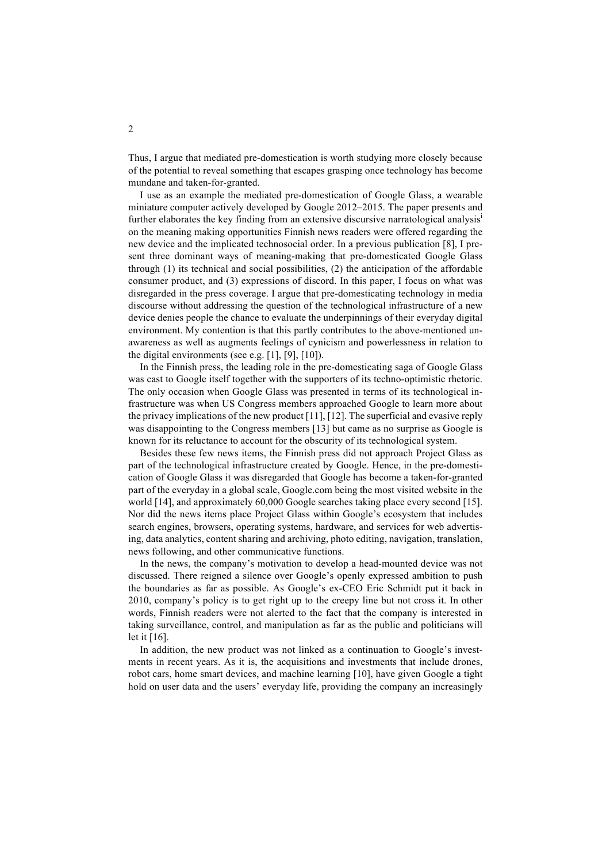Thus, I argue that mediated pre-domestication is worth studying more closely because of the potential to reveal something that escapes grasping once technology has become mundane and taken-for-granted.

I use as an example the mediated pre-domestication of Google Glass, a wearable miniature computer actively developed by Google 2012–2015. The paper presents and further elaborates the key finding from an extensive discursive narratological analysis<sup>i</sup> on the meaning making opportunities Finnish news readers were offered regarding the new device and the implicated technosocial order. In a previous publication [8], I present three dominant ways of meaning-making that pre-domesticated Google Glass through (1) its technical and social possibilities, (2) the anticipation of the affordable consumer product, and (3) expressions of discord. In this paper, I focus on what was disregarded in the press coverage. I argue that pre-domesticating technology in media discourse without addressing the question of the technological infrastructure of a new device denies people the chance to evaluate the underpinnings of their everyday digital environment. My contention is that this partly contributes to the above-mentioned unawareness as well as augments feelings of cynicism and powerlessness in relation to the digital environments (see e.g. [1], [9], [10]).

In the Finnish press, the leading role in the pre-domesticating saga of Google Glass was cast to Google itself together with the supporters of its techno-optimistic rhetoric. The only occasion when Google Glass was presented in terms of its technological infrastructure was when US Congress members approached Google to learn more about the privacy implications of the new product [11], [12]. The superficial and evasive reply was disappointing to the Congress members [13] but came as no surprise as Google is known for its reluctance to account for the obscurity of its technological system.

Besides these few news items, the Finnish press did not approach Project Glass as part of the technological infrastructure created by Google. Hence, in the pre-domestication of Google Glass it was disregarded that Google has become a taken-for-granted part of the everyday in a global scale, Google.com being the most visited website in the world [14], and approximately 60,000 Google searches taking place every second [15]. Nor did the news items place Project Glass within Google's ecosystem that includes search engines, browsers, operating systems, hardware, and services for web advertising, data analytics, content sharing and archiving, photo editing, navigation, translation, news following, and other communicative functions.

In the news, the company's motivation to develop a head-mounted device was not discussed. There reigned a silence over Google's openly expressed ambition to push the boundaries as far as possible. As Google's ex-CEO Eric Schmidt put it back in 2010, company's policy is to get right up to the creepy line but not cross it. In other words, Finnish readers were not alerted to the fact that the company is interested in taking surveillance, control, and manipulation as far as the public and politicians will let it [16].

In addition, the new product was not linked as a continuation to Google's investments in recent years. As it is, the acquisitions and investments that include drones, robot cars, home smart devices, and machine learning [10], have given Google a tight hold on user data and the users' everyday life, providing the company an increasingly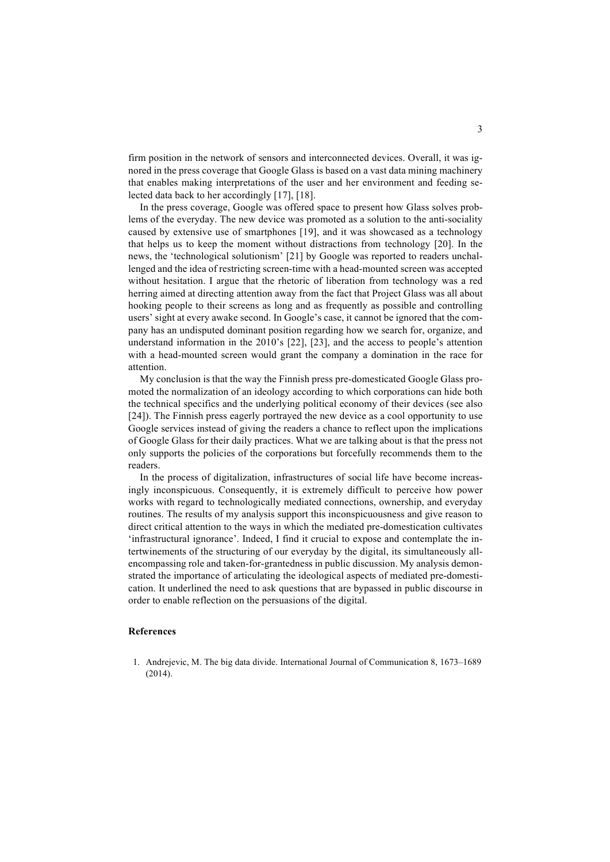firm position in the network of sensors and interconnected devices. Overall, it was ignored in the press coverage that Google Glass is based on a vast data mining machinery that enables making interpretations of the user and her environment and feeding selected data back to her accordingly [17], [18].

In the press coverage, Google was offered space to present how Glass solves problems of the everyday. The new device was promoted as a solution to the anti-sociality caused by extensive use of smartphones [19], and it was showcased as a technology that helps us to keep the moment without distractions from technology [20]. In the news, the 'technological solutionism' [21] by Google was reported to readers unchallenged and the idea of restricting screen-time with a head-mounted screen was accepted without hesitation. I argue that the rhetoric of liberation from technology was a red herring aimed at directing attention away from the fact that Project Glass was all about hooking people to their screens as long and as frequently as possible and controlling users' sight at every awake second. In Google's case, it cannot be ignored that the company has an undisputed dominant position regarding how we search for, organize, and understand information in the 2010's [22], [23], and the access to people's attention with a head-mounted screen would grant the company a domination in the race for attention.

My conclusion is that the way the Finnish press pre-domesticated Google Glass promoted the normalization of an ideology according to which corporations can hide both the technical specifics and the underlying political economy of their devices (see also [24]). The Finnish press eagerly portrayed the new device as a cool opportunity to use Google services instead of giving the readers a chance to reflect upon the implications of Google Glass for their daily practices. What we are talking about is that the press not only supports the policies of the corporations but forcefully recommends them to the readers.

In the process of digitalization, infrastructures of social life have become increasingly inconspicuous. Consequently, it is extremely difficult to perceive how power works with regard to technologically mediated connections, ownership, and everyday routines. The results of my analysis support this inconspicuousness and give reason to direct critical attention to the ways in which the mediated pre-domestication cultivates 'infrastructural ignorance'. Indeed, I find it crucial to expose and contemplate the intertwinements of the structuring of our everyday by the digital, its simultaneously allencompassing role and taken-for-grantedness in public discussion. My analysis demonstrated the importance of articulating the ideological aspects of mediated pre-domestication. It underlined the need to ask questions that are bypassed in public discourse in order to enable reflection on the persuasions of the digital.

## **References**

1. Andrejevic, M. The big data divide. International Journal of Communication 8, 1673–1689  $(2014)$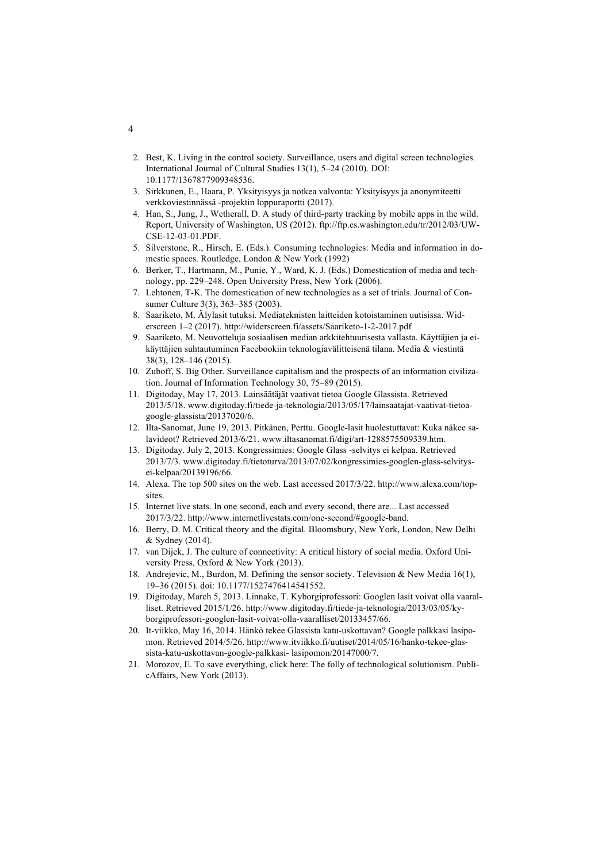- 2. Best, K. Living in the control society. Surveillance, users and digital screen technologies. International Journal of Cultural Studies 13(1), 5–24 (2010). DOI: 10.1177/1367877909348536.
- 3. Sirkkunen, E., Haara, P. Yksityisyys ja notkea valvonta: Yksityisyys ja anonymiteetti verkkoviestinnässä -projektin loppuraportti (2017).
- 4. Han, S., Jung, J., Wetherall, D. A study of third-party tracking by mobile apps in the wild. Report, University of Washington, US (2012). ftp://ftp.cs.washington.edu/tr/2012/03/UW-CSE-12-03-01.PDF.
- 5. Silverstone, R., Hirsch, E. (Eds.). Consuming technologies: Media and information in domestic spaces. Routledge, London & New York (1992)
- 6. Berker, T., Hartmann, M., Punie, Y., Ward, K. J. (Eds.) Domestication of media and technology, pp. 229–248. Open University Press, New York (2006).
- 7. Lehtonen, T-K. The domestication of new technologies as a set of trials. Journal of Consumer Culture 3(3), 363–385 (2003).
- 8. Saariketo, M. Älylasit tutuksi. Mediateknisten laitteiden kotoistaminen uutisissa. Widerscreen 1–2 (2017). http://widerscreen.fi/assets/Saariketo-1-2-2017.pdf
- 9. Saariketo, M. Neuvotteluja sosiaalisen median arkkitehtuurisesta vallasta. Käyttäjien ja eikäyttäjien suhtautuminen Facebookiin teknologiavälitteisenä tilana. Media & viestintä 38(3), 128–146 (2015).
- 10. Zuboff, S. Big Other. Surveillance capitalism and the prospects of an information civilization. Journal of Information Technology 30, 75–89 (2015).
- 11. Digitoday, May 17, 2013. Lainsäätäjät vaativat tietoa Google Glassista. Retrieved 2013/5/18. www.digitoday.fi/tiede-ja-teknologia/2013/05/17/lainsaatajat-vaativat-tietoagoogle-glassista/20137020/6.
- 12. Ilta-Sanomat, June 19, 2013. Pitkänen, Perttu. Google-lasit huolestuttavat: Kuka näkee salavideot? Retrieved 2013/6/21. www.iltasanomat.fi/digi/art-1288575509339.htm.
- 13. Digitoday. July 2, 2013. Kongressimies: Google Glass -selvitys ei kelpaa. Retrieved 2013/7/3. www.digitoday.fi/tietoturva/2013/07/02/kongressimies-googlen-glass-selvitysei-kelpaa/20139196/66.
- 14. Alexa. The top 500 sites on the web. Last accessed 2017/3/22. http://www.alexa.com/topsites.
- 15. Internet live stats. In one second, each and every second, there are... Last accessed 2017/3/22. http://www.internetlivestats.com/one-second/#google-band.
- 16. Berry, D. M. Critical theory and the digital*.* Bloomsbury, New York, London, New Delhi & Sydney (2014).
- 17. van Dijck, J. The culture of connectivity: A critical history of social media. Oxford University Press, Oxford & New York (2013).
- 18. Andrejevic, M., Burdon, M. Defining the sensor society. Television & New Media 16(1), 19–36 (2015). doi: 10.1177/1527476414541552.
- 19. Digitoday, March 5, 2013. Linnake, T. Kyborgiprofessori: Googlen lasit voivat olla vaaralliset. Retrieved 2015/1/26. http://www.digitoday.fi/tiede-ja-teknologia/2013/03/05/kyborgiprofessori-googlen-lasit-voivat-olla-vaaralliset/20133457/66.
- 20. It-viikko, May 16, 2014. Hänkö tekee Glassista katu-uskottavan? Google palkkasi lasipomon. Retrieved 2014/5/26. http://www.itviikko.fi/uutiset/2014/05/16/hanko-tekee-glassista-katu-uskottavan-google-palkkasi- lasipomon/20147000/7.
- 21. Morozov, E. To save everything, click here: The folly of technological solutionism. PublicAffairs, New York (2013).

4